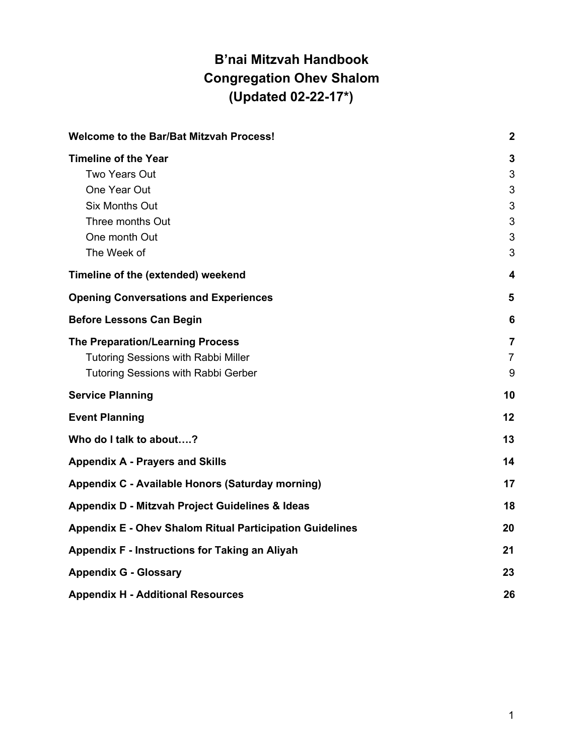# <span id="page-0-0"></span>**B'nai Mitzvah Handbook Congregation Ohev Shalom (Updated 02-22-17\*)**

| <b>Welcome to the Bar/Bat Mitzvah Process!</b>                  | $\boldsymbol{2}$ |
|-----------------------------------------------------------------|------------------|
| <b>Timeline of the Year</b>                                     | 3                |
| Two Years Out                                                   | 3                |
| One Year Out                                                    | 3                |
| <b>Six Months Out</b>                                           | 3                |
| Three months Out                                                | 3                |
| One month Out                                                   | 3                |
| The Week of                                                     | 3                |
| Timeline of the (extended) weekend                              | 4                |
| <b>Opening Conversations and Experiences</b>                    | 5                |
| <b>Before Lessons Can Begin</b>                                 | 6                |
| <b>The Preparation/Learning Process</b>                         | $\overline{7}$   |
| <b>Tutoring Sessions with Rabbi Miller</b>                      | $\overline{7}$   |
| Tutoring Sessions with Rabbi Gerber                             | 9                |
| <b>Service Planning</b>                                         | 10               |
| <b>Event Planning</b>                                           | 12               |
| Who do I talk to about?                                         | 13               |
| <b>Appendix A - Prayers and Skills</b>                          | 14               |
| Appendix C - Available Honors (Saturday morning)                | 17               |
| Appendix D - Mitzvah Project Guidelines & Ideas                 | 18               |
| <b>Appendix E - Ohev Shalom Ritual Participation Guidelines</b> | 20               |
| Appendix F - Instructions for Taking an Aliyah                  | 21               |
| <b>Appendix G - Glossary</b>                                    | 23               |
| <b>Appendix H - Additional Resources</b>                        | 26               |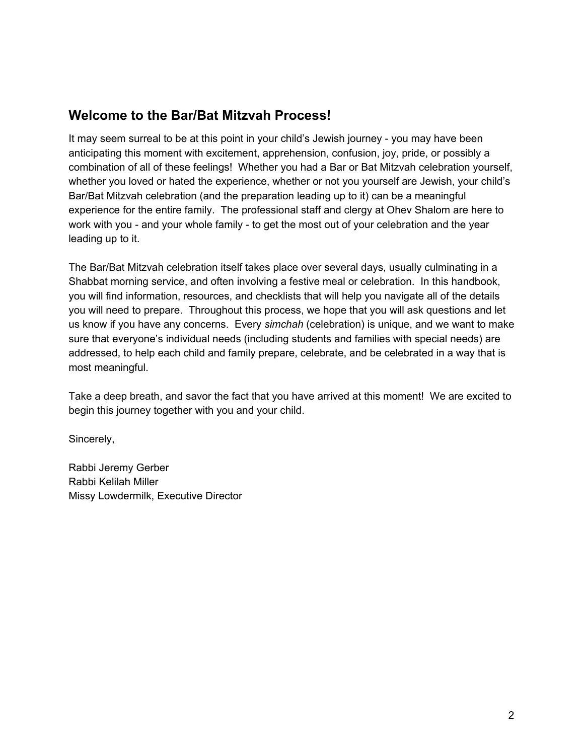# <span id="page-1-0"></span>**Welcome to the Bar/Bat Mitzvah Process!**

It may seem surreal to be at this point in your child's Jewish journey - you may have been anticipating this moment with excitement, apprehension, confusion, joy, pride, or possibly a combination of all of these feelings! Whether you had a Bar or Bat Mitzvah celebration yourself, whether you loved or hated the experience, whether or not you yourself are Jewish, your child's Bar/Bat Mitzvah celebration (and the preparation leading up to it) can be a meaningful experience for the entire family. The professional staff and clergy at Ohev Shalom are here to work with you - and your whole family - to get the most out of your celebration and the year leading up to it.

The Bar/Bat Mitzvah celebration itself takes place over several days, usually culminating in a Shabbat morning service, and often involving a festive meal or celebration. In this handbook, you will find information, resources, and checklists that will help you navigate all of the details you will need to prepare. Throughout this process, we hope that you will ask questions and let us know if you have any concerns. Every *simchah* (celebration) is unique, and we want to make sure that everyone's individual needs (including students and families with special needs) are addressed, to help each child and family prepare, celebrate, and be celebrated in a way that is most meaningful.

Take a deep breath, and savor the fact that you have arrived at this moment! We are excited to begin this journey together with you and your child.

Sincerely,

Rabbi Jeremy Gerber Rabbi Kelilah Miller Missy Lowdermilk, Executive Director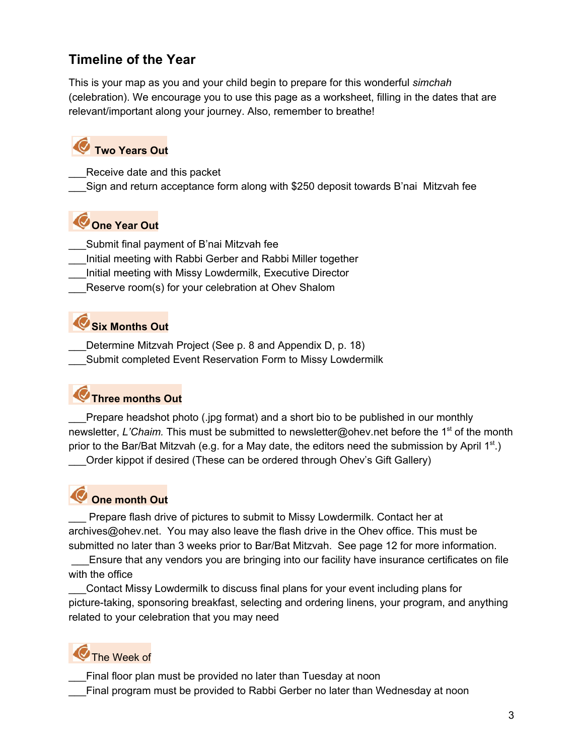# <span id="page-2-0"></span>**Timeline of the Year**

This is your map as you and your child begin to prepare for this wonderful *simchah* (celebration). We encourage you to use this page as a worksheet, filling in the dates that are relevant/important along your journey. Also, remember to breathe!

# <span id="page-2-1"></span> **Two Years Out**

- Receive date and this packet
- <span id="page-2-2"></span>\_\_\_Sign and return acceptance form along with \$250 deposit towards B'nai Mitzvah fee

# **One Year Out**

- Submit final payment of B'nai Mitzvah fee
- \_\_\_Initial meeting with Rabbi Gerber and Rabbi Miller together
- \_\_\_Initial meeting with Missy Lowdermilk, Executive Director
- <span id="page-2-3"></span>Reserve room(s) for your celebration at Ohev Shalom

## **Six Months Out**

Determine Mitzvah Project (See p. 8 and Appendix D, p. 18)

<span id="page-2-4"></span>Submit completed Event Reservation Form to Missy Lowdermilk

# **Three months Out**

Prepare headshot photo (.jpg format) and a short bio to be published in our monthly newsletter, *L'Chaim.* This must be submitted to newsletter@ohev.net before the 1st of the month prior to the Bar/Bat Mitzvah (e.g. for a May date, the editors need the submission by April  $1^{st}$ .)

<span id="page-2-5"></span>\_\_\_Order kippot if desired (These can be ordered through Ohev's Gift Gallery)

# **One month Out**

Prepare flash drive of pictures to submit to Missy Lowdermilk. Contact her at archives@ohev.net. You may also leave the flash drive in the Ohev office. This must be submitted no later than 3 weeks prior to Bar/Bat Mitzvah. See page 12 for more information.

 \_\_\_Ensure that any vendors you are bringing into our facility have insurance certificates on file with the office

\_\_\_Contact Missy Lowdermilk to discuss final plans for your event including plans for picture-taking, sponsoring breakfast, selecting and ordering linens, your program, and anything related to your celebration that you may need

# <span id="page-2-6"></span>The Week of

Final floor plan must be provided no later than Tuesday at noon

\_\_\_Final program must be provided to Rabbi Gerber no later than Wednesday at noon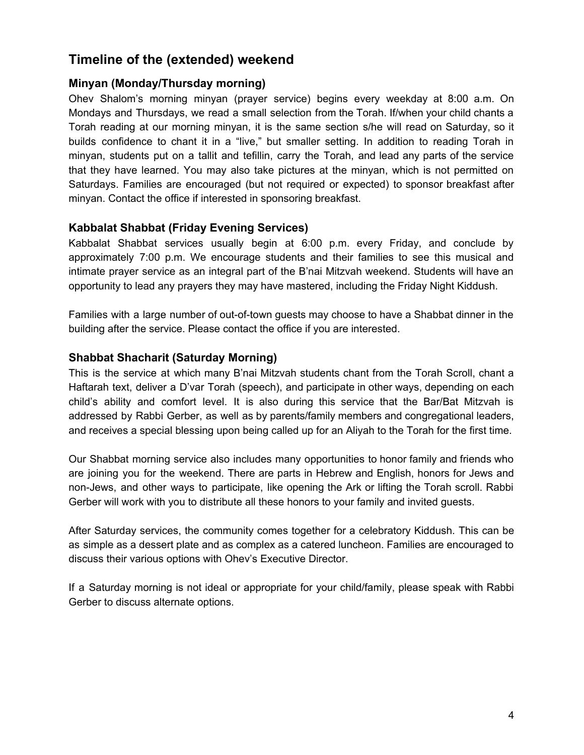# <span id="page-3-0"></span>**Timeline of the (extended) weekend**

## **Minyan (Monday/Thursday morning)**

Ohev Shalom's morning minyan (prayer service) begins every weekday at 8:00 a.m. On Mondays and Thursdays, we read a small selection from the Torah. If/when your child chants a Torah reading at our morning minyan, it is the same section s/he will read on Saturday, so it builds confidence to chant it in a "live," but smaller setting. In addition to reading Torah in minyan, students put on a tallit and tefillin, carry the Torah, and lead any parts of the service that they have learned. You may also take pictures at the minyan, which is not permitted on Saturdays. Families are encouraged (but not required or expected) to sponsor breakfast after minyan. Contact the office if interested in sponsoring breakfast.

## **Kabbalat Shabbat (Friday Evening Services)**

Kabbalat Shabbat services usually begin at 6:00 p.m. every Friday, and conclude by approximately 7:00 p.m. We encourage students and their families to see this musical and intimate prayer service as an integral part of the B'nai Mitzvah weekend. Students will have an opportunity to lead any prayers they may have mastered, including the Friday Night Kiddush.

Families with a large number of out-of-town guests may choose to have a Shabbat dinner in the building after the service. Please contact the office if you are interested.

## **Shabbat Shacharit (Saturday Morning)**

This is the service at which many B'nai Mitzvah students chant from the Torah Scroll, chant a Haftarah text, deliver a D'var Torah (speech), and participate in other ways, depending on each child's ability and comfort level. It is also during this service that the Bar/Bat Mitzvah is addressed by Rabbi Gerber, as well as by parents/family members and congregational leaders, and receives a special blessing upon being called up for an Aliyah to the Torah for the first time.

Our Shabbat morning service also includes many opportunities to honor family and friends who are joining you for the weekend. There are parts in Hebrew and English, honors for Jews and non-Jews, and other ways to participate, like opening the Ark or lifting the Torah scroll. Rabbi Gerber will work with you to distribute all these honors to your family and invited guests.

After Saturday services, the community comes together for a celebratory Kiddush. This can be as simple as a dessert plate and as complex as a catered luncheon. Families are encouraged to discuss their various options with Ohev's Executive Director.

If a Saturday morning is not ideal or appropriate for your child/family, please speak with Rabbi Gerber to discuss alternate options.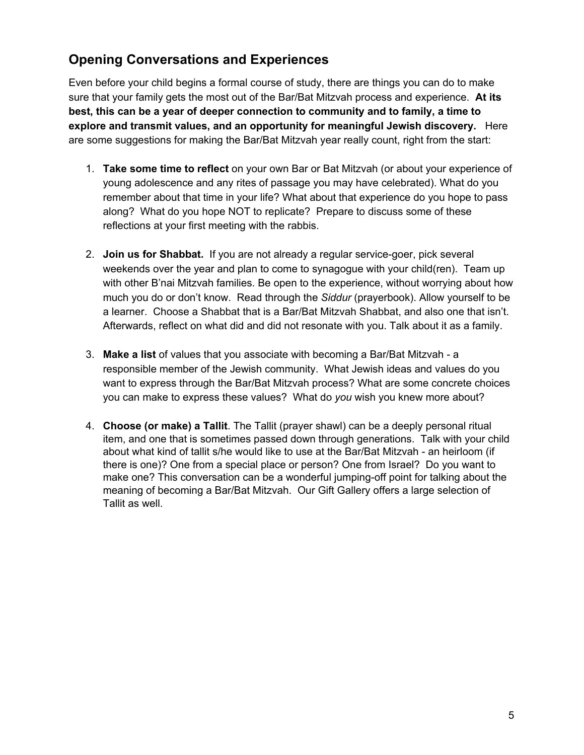# <span id="page-4-0"></span>**Opening Conversations and Experiences**

Even before your child begins a formal course of study, there are things you can do to make sure that your family gets the most out of the Bar/Bat Mitzvah process and experience. **At its best, this can be a year of deeper connection to community and to family, a time to explore and transmit values, and an opportunity for meaningful Jewish discovery.** Here are some suggestions for making the Bar/Bat Mitzvah year really count, right from the start:

- 1. **Take some time to reflect** on your own Bar or Bat Mitzvah (or about your experience of young adolescence and any rites of passage you may have celebrated). What do you remember about that time in your life? What about that experience do you hope to pass along? What do you hope NOT to replicate? Prepare to discuss some of these reflections at your first meeting with the rabbis.
- 2. **Join us for Shabbat.** If you are not already a regular service-goer, pick several weekends over the year and plan to come to synagogue with your child(ren). Team up with other B'nai Mitzvah families. Be open to the experience, without worrying about how much you do or don't know. Read through the *Siddur* (prayerbook). Allow yourself to be a learner. Choose a Shabbat that is a Bar/Bat Mitzvah Shabbat, and also one that isn't. Afterwards, reflect on what did and did not resonate with you. Talk about it as a family.
- 3. **Make a list** of values that you associate with becoming a Bar/Bat Mitzvah a responsible member of the Jewish community. What Jewish ideas and values do you want to express through the Bar/Bat Mitzvah process? What are some concrete choices you can make to express these values? What do *you* wish you knew more about?
- 4. **Choose (or make) a Tallit**. The Tallit (prayer shawl) can be a deeply personal ritual item, and one that is sometimes passed down through generations. Talk with your child about what kind of tallit s/he would like to use at the Bar/Bat Mitzvah - an heirloom (if there is one)? One from a special place or person? One from Israel? Do you want to make one? This conversation can be a wonderful jumping-off point for talking about the meaning of becoming a Bar/Bat Mitzvah. Our Gift Gallery offers a large selection of Tallit as well.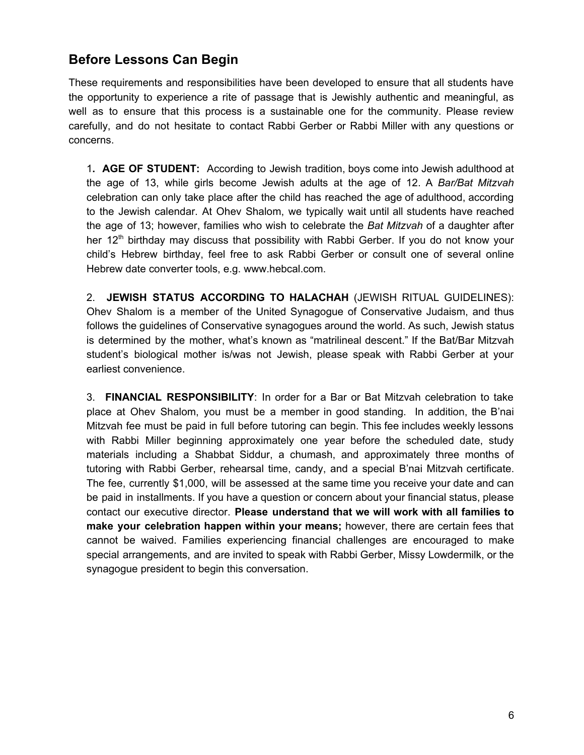# <span id="page-5-0"></span>**Before Lessons Can Begin**

These requirements and responsibilities have been developed to ensure that all students have the opportunity to experience a rite of passage that is Jewishly authentic and meaningful, as well as to ensure that this process is a sustainable one for the community. Please review carefully, and do not hesitate to contact Rabbi Gerber or Rabbi Miller with any questions or concerns.

1**. AGE OF STUDENT:** According to Jewish tradition, boys come into Jewish adulthood at the age of 13, while girls become Jewish adults at the age of 12. A *Bar/Bat Mitzvah* celebration can only take place after the child has reached the age of adulthood, according to the Jewish calendar. At Ohev Shalom, we typically wait until all students have reached the age of 13; however, families who wish to celebrate the *Bat Mitzvah* of a daughter after her  $12<sup>th</sup>$  birthday may discuss that possibility with Rabbi Gerber. If you do not know your child's Hebrew birthday, feel free to ask Rabbi Gerber or consult one of several online Hebrew date converter tools, e.g. www.hebcal.com.

2. **JEWISH STATUS ACCORDING TO HALACHAH** (JEWISH RITUAL GUIDELINES): Ohev Shalom is a member of the United Synagogue of Conservative Judaism, and thus follows the guidelines of Conservative synagogues around the world. As such, Jewish status is determined by the mother, what's known as "matrilineal descent." If the Bat/Bar Mitzvah student's biological mother is/was not Jewish, please speak with Rabbi Gerber at your earliest convenience.

3. **FINANCIAL RESPONSIBILITY**: In order for a Bar or Bat Mitzvah celebration to take place at Ohev Shalom, you must be a member in good standing. In addition, the B'nai Mitzvah fee must be paid in full before tutoring can begin. This fee includes weekly lessons with Rabbi Miller beginning approximately one year before the scheduled date, study materials including a Shabbat Siddur, a chumash, and approximately three months of tutoring with Rabbi Gerber, rehearsal time, candy, and a special B'nai Mitzvah certificate. The fee, currently \$1,000, will be assessed at the same time you receive your date and can be paid in installments. If you have a question or concern about your financial status, please contact our executive director. **Please understand that we will work with all families to make your celebration happen within your means;** however, there are certain fees that cannot be waived. Families experiencing financial challenges are encouraged to make special arrangements, and are invited to speak with Rabbi Gerber, Missy Lowdermilk, or the synagogue president to begin this conversation.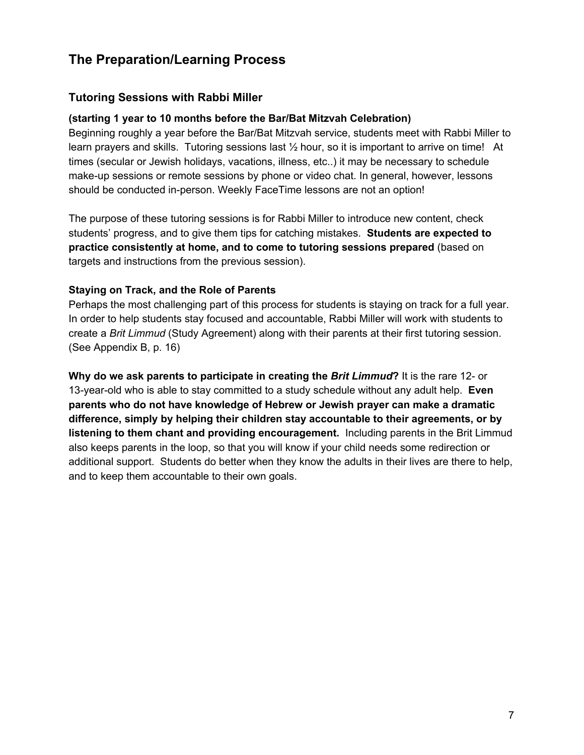# <span id="page-6-0"></span>**The Preparation/Learning Process**

## <span id="page-6-1"></span>**Tutoring Sessions with Rabbi Miller**

#### **(starting 1 year to 10 months before the Bar/Bat Mitzvah Celebration)**

Beginning roughly a year before the Bar/Bat Mitzvah service, students meet with Rabbi Miller to learn prayers and skills. Tutoring sessions last ½ hour, so it is important to arrive on time! At times (secular or Jewish holidays, vacations, illness, etc..) it may be necessary to schedule make-up sessions or remote sessions by phone or video chat. In general, however, lessons should be conducted in-person. Weekly FaceTime lessons are not an option!

The purpose of these tutoring sessions is for Rabbi Miller to introduce new content, check students' progress, and to give them tips for catching mistakes. **Students are expected to practice consistently at home, and to come to tutoring sessions prepared** (based on targets and instructions from the previous session).

#### **Staying on Track, and the Role of Parents**

Perhaps the most challenging part of this process for students is staying on track for a full year. In order to help students stay focused and accountable, Rabbi Miller will work with students to create a *Brit Limmud* (Study Agreement) along with their parents at their first tutoring session. (See Appendix B, p. 16)

 **Why do we ask parents to participate in creating the** *Brit Limmud***?** It is the rare 12- or 13-year-old who is able to stay committed to a study schedule without any adult help. **Even parents who do not have knowledge of Hebrew or Jewish prayer can make a dramatic difference, simply by helping their children stay accountable to their agreements, or by listening to them chant and providing encouragement.** Including parents in the Brit Limmud also keeps parents in the loop, so that you will know if your child needs some redirection or additional support. Students do better when they know the adults in their lives are there to help, and to keep them accountable to their own goals.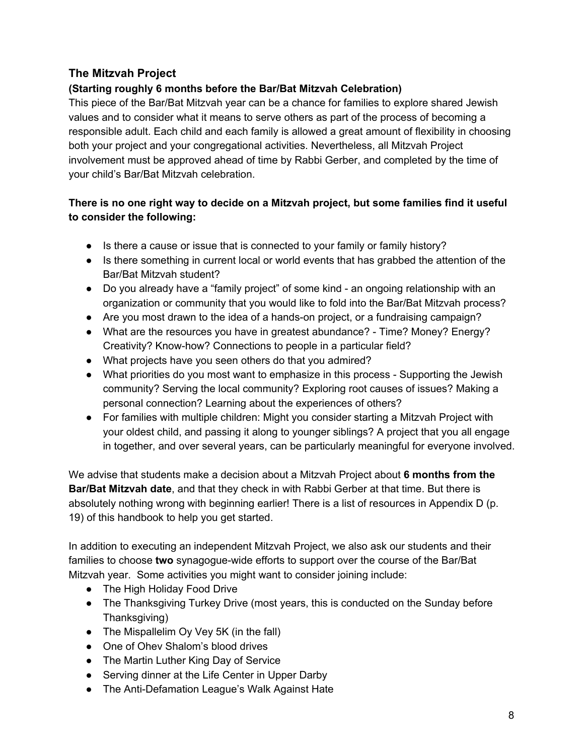## **The Mitzvah Project**

## **(Starting roughly 6 months before the Bar/Bat Mitzvah Celebration)**

This piece of the Bar/Bat Mitzvah year can be a chance for families to explore shared Jewish values and to consider what it means to serve others as part of the process of becoming a responsible adult. Each child and each family is allowed a great amount of flexibility in choosing both your project and your congregational activities. Nevertheless, all Mitzvah Project involvement must be approved ahead of time by Rabbi Gerber, and completed by the time of your child's Bar/Bat Mitzvah celebration.

## **There is no one right way to decide on a Mitzvah project, but some families find it useful to consider the following:**

- Is there a cause or issue that is connected to your family or family history?
- Is there something in current local or world events that has grabbed the attention of the Bar/Bat Mitzvah student?
- Do you already have a "family project" of some kind an ongoing relationship with an organization or community that you would like to fold into the Bar/Bat Mitzvah process?
- Are you most drawn to the idea of a hands-on project, or a fundraising campaign?
- What are the resources you have in greatest abundance? Time? Money? Energy? Creativity? Know-how? Connections to people in a particular field?
- What projects have you seen others do that you admired?
- What priorities do you most want to emphasize in this process Supporting the Jewish community? Serving the local community? Exploring root causes of issues? Making a personal connection? Learning about the experiences of others?
- For families with multiple children: Might you consider starting a Mitzvah Project with your oldest child, and passing it along to younger siblings? A project that you all engage in together, and over several years, can be particularly meaningful for everyone involved.

We advise that students make a decision about a Mitzvah Project about **6 months from the Bar/Bat Mitzvah date**, and that they check in with Rabbi Gerber at that time. But there is absolutely nothing wrong with beginning earlier! There is a list of resources in Appendix D (p. 19) of this handbook to help you get started.

In addition to executing an independent Mitzvah Project, we also ask our students and their families to choose **two** synagogue-wide efforts to support over the course of the Bar/Bat Mitzvah year. Some activities you might want to consider joining include:

- The High Holiday Food Drive
- The Thanksgiving Turkey Drive (most years, this is conducted on the Sunday before Thanksgiving)
- The Mispallelim Oy Vey 5K (in the fall)
- One of Ohev Shalom's blood drives
- The Martin Luther King Day of Service
- Serving dinner at the Life Center in Upper Darby
- The Anti-Defamation League's Walk Against Hate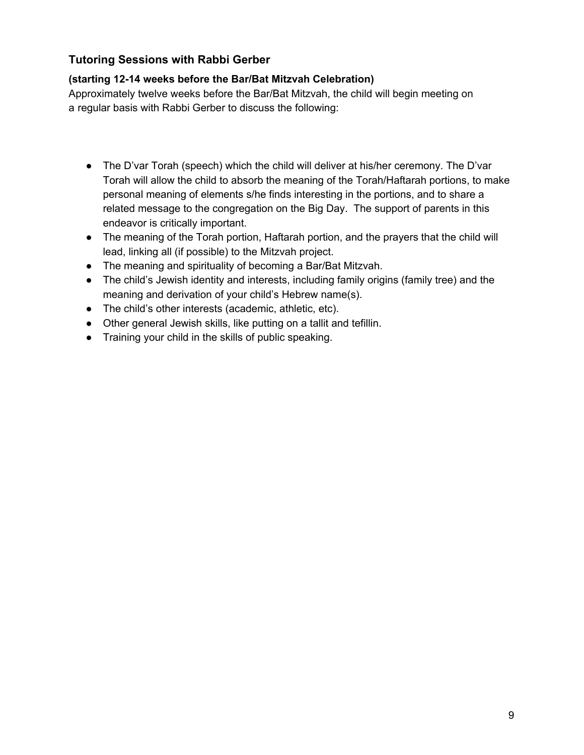## **Tutoring Sessions with Rabbi Gerber**

## **(starting 12-14 weeks before the Bar/Bat Mitzvah Celebration)**

<span id="page-8-0"></span>Approximately twelve weeks before the Bar/Bat Mitzvah, the child will begin meeting on a regular basis with Rabbi Gerber to discuss the following:

- The D'var Torah (speech) which the child will deliver at his/her ceremony. The D'var Torah will allow the child to absorb the meaning of the Torah/Haftarah portions, to make personal meaning of elements s/he finds interesting in the portions, and to share a related message to the congregation on the Big Day. The support of parents in this endeavor is critically important.
- The meaning of the Torah portion, Haftarah portion, and the prayers that the child will lead, linking all (if possible) to the Mitzvah project.
- The meaning and spirituality of becoming a Bar/Bat Mitzvah.
- The child's Jewish identity and interests, including family origins (family tree) and the meaning and derivation of your child's Hebrew name(s).
- The child's other interests (academic, athletic, etc).
- Other general Jewish skills, like putting on a tallit and tefillin.
- Training your child in the skills of public speaking.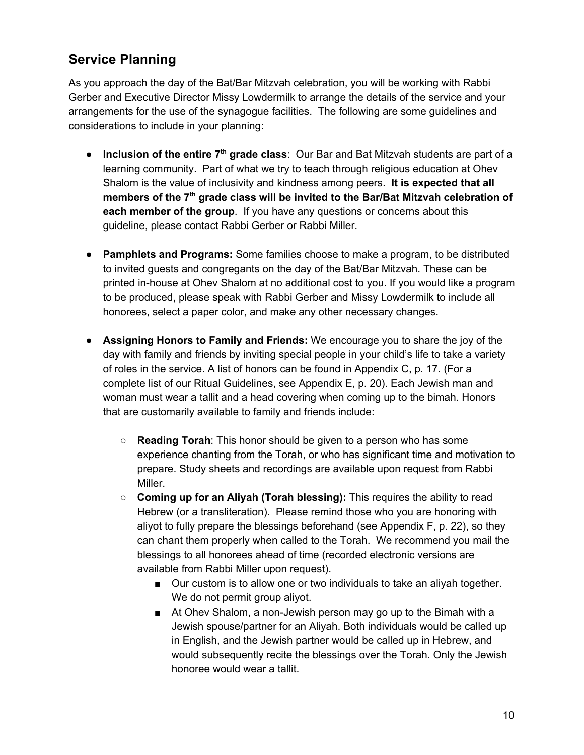# <span id="page-9-0"></span>**Service Planning**

As you approach the day of the Bat/Bar Mitzvah celebration, you will be working with Rabbi Gerber and Executive Director Missy Lowdermilk to arrange the details of the service and your arrangements for the use of the synagogue facilities. The following are some guidelines and considerations to include in your planning:

- **Inclusion of the entire 7<sup>th</sup> grade class**: Our Bar and Bat Mitzvah students are part of a learning community. Part of what we try to teach through religious education at Ohev Shalom is the value of inclusivity and kindness among peers. **It is expected that all members of the 7 th grade class will be invited to the Bar/Bat Mitzvah celebration of each member of the group**. If you have any questions or concerns about this guideline, please contact Rabbi Gerber or Rabbi Miller.
- **Pamphlets and Programs:** Some families choose to make a program, to be distributed to invited guests and congregants on the day of the Bat/Bar Mitzvah. These can be printed in-house at Ohev Shalom at no additional cost to you. If you would like a program to be produced, please speak with Rabbi Gerber and Missy Lowdermilk to include all honorees, select a paper color, and make any other necessary changes.
- **Assigning Honors to Family and Friends:** We encourage you to share the joy of the day with family and friends by inviting special people in your child's life to take a variety of roles in the service. A list of honors can be found in Appendix C, p. 17. (For a complete list of our Ritual Guidelines, see Appendix E, p. 20). Each Jewish man and woman must wear a tallit and a head covering when coming up to the bimah. Honors that are customarily available to family and friends include:
	- **Reading Torah**: This honor should be given to a person who has some experience chanting from the Torah, or who has significant time and motivation to prepare. Study sheets and recordings are available upon request from Rabbi Miller.
	- **Coming up for an Aliyah (Torah blessing):** This requires the ability to read Hebrew (or a transliteration). Please remind those who you are honoring with aliyot to fully prepare the blessings beforehand (see Appendix F, p. 22), so they can chant them properly when called to the Torah. We recommend you mail the blessings to all honorees ahead of time (recorded electronic versions are available from Rabbi Miller upon request).
		- Our custom is to allow one or two individuals to take an aliyah together. We do not permit group aliyot.
		- At Ohev Shalom, a non-Jewish person may go up to the Bimah with a Jewish spouse/partner for an Aliyah. Both individuals would be called up in English, and the Jewish partner would be called up in Hebrew, and would subsequently recite the blessings over the Torah. Only the Jewish honoree would wear a tallit.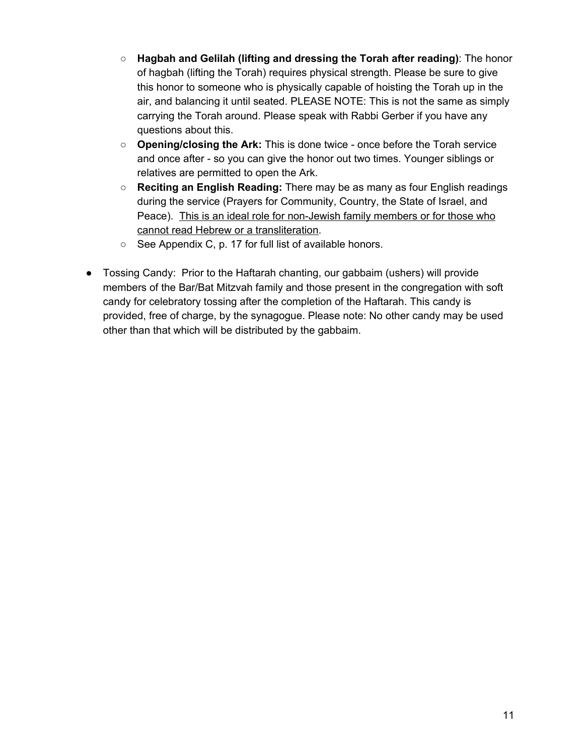- **Hagbah and Gelilah (lifting and dressing the Torah after reading)**: The honor of hagbah (lifting the Torah) requires physical strength. Please be sure to give this honor to someone who is physically capable of hoisting the Torah up in the air, and balancing it until seated. PLEASE NOTE: This is not the same as simply carrying the Torah around. Please speak with Rabbi Gerber if you have any questions about this.
- **○ Opening/closing the Ark:** This is done twice once before the Torah service and once after - so you can give the honor out two times. Younger siblings or relatives are permitted to open the Ark.
- **○ Reciting an English Reading:** There may be as many as four English readings during the service (Prayers for Community, Country, the State of Israel, and Peace). This is an ideal role for non-Jewish family members or for those who cannot read Hebrew or a transliteration.
- See Appendix C, p. 17 for full list of available honors.
- Tossing Candy: Prior to the Haftarah chanting, our gabbaim (ushers) will provide members of the Bar/Bat Mitzvah family and those present in the congregation with soft candy for celebratory tossing after the completion of the Haftarah. This candy is provided, free of charge, by the synagogue. Please note: No other candy may be used other than that which will be distributed by the gabbaim.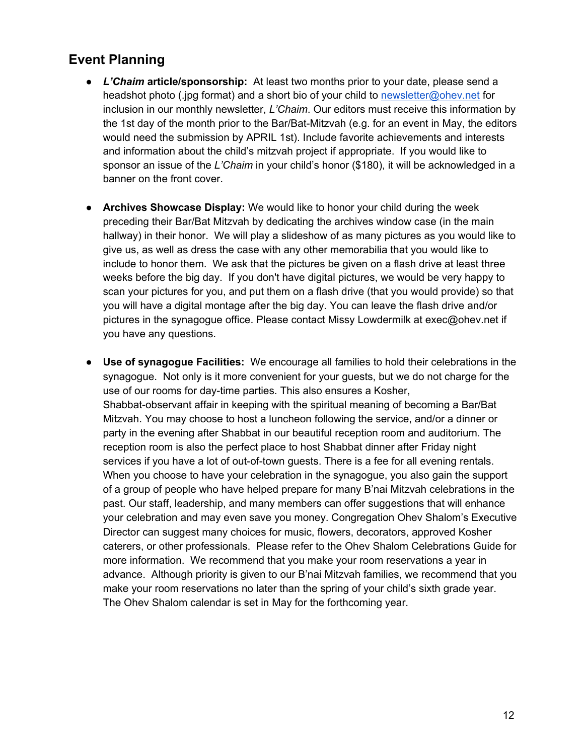## <span id="page-11-0"></span>**[Event Planning](http://drive.google.com/open?id=1hQSqEoJhInb7KZl0z3aeBUUxW1RNHemwnxdmqoYvs6Q)**

- **●** *L'Chaim* **article/sponsorship:** At least two months prior to your date, please send a headshot photo (.jpg format) and a short bio of your child to [newsletter@ohev.net](mailto:newsletter@ohev.net) for inclusion in our monthly newsletter, *L'Chaim*. Our editors must receive this information by the 1st day of the month prior to the Bar/Bat-Mitzvah (e.g. for an event in May, the editors would need the submission by APRIL 1st). Include favorite achievements and interests and information about the child's mitzvah project if appropriate. If you would like to sponsor an issue of the *L'Chaim* in your child's honor (\$180), it will be acknowledged in a banner on the front cover.
- **● Archives Showcase Display:** We would like to honor your child during the week preceding their Bar/Bat Mitzvah by dedicating the archives window case (in the main hallway) in their honor. We will play a slideshow of as many pictures as you would like to give us, as well as dress the case with any other memorabilia that you would like to include to honor them. We ask that the pictures be given on a flash drive at least three weeks before the big day. If you don't have digital pictures, we would be very happy to scan your pictures for you, and put them on a flash drive (that you would provide) so that you will have a digital montage after the big day. You can leave the flash drive and/or pictures in the synagogue office. Please contact Missy Lowdermilk at exec@ohev.net if you have any questions.
- **● Use of synagogue Facilities:** We encourage all families to hold their celebrations in the synagogue. Not only is it more convenient for your guests, but we do not charge for the use of our rooms for day-time parties. This also ensures a Kosher, Shabbat-observant affair in keeping with the spiritual meaning of becoming a Bar/Bat Mitzvah. You may choose to host a luncheon following the service, and/or a dinner or party in the evening after Shabbat in our beautiful reception room and auditorium. The reception room is also the perfect place to host Shabbat dinner after Friday night services if you have a lot of out-of-town guests. There is a fee for all evening rentals. When you choose to have your celebration in the synagogue, you also gain the support of a group of people who have helped prepare for many B'nai Mitzvah celebrations in the past. Our staff, leadership, and many members can offer suggestions that will enhance your celebration and may even save you money. Congregation Ohev Shalom's Executive Director can suggest many choices for music, flowers, decorators, approved Kosher caterers, or other professionals. Please refer to the Ohev Shalom Celebrations Guide for more information. We recommend that you make your room reservations a year in advance. Although priority is given to our B'nai Mitzvah families, we recommend that you make your room reservations no later than the spring of your child's sixth grade year. The Ohev Shalom calendar is set in May for the forthcoming year.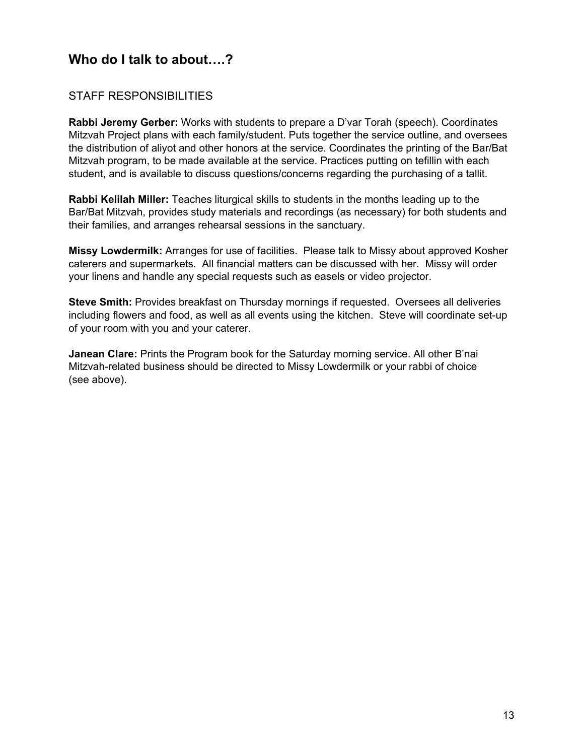# <span id="page-12-0"></span>**[Who do I talk to about….?](#page-0-0)**

## STAFF RESPONSIBILITIES

**Rabbi Jeremy Gerber:** Works with students to prepare a D'var Torah (speech). Coordinates Mitzvah Project plans with each family/student. Puts together the service outline, and oversees the distribution of aliyot and other honors at the service. Coordinates the printing of the Bar/Bat Mitzvah program, to be made available at the service. Practices putting on tefillin with each student, and is available to discuss questions/concerns regarding the purchasing of a tallit.

**Rabbi Kelilah Miller:** Teaches liturgical skills to students in the months leading up to the Bar/Bat Mitzvah, provides study materials and recordings (as necessary) for both students and their families, and arranges rehearsal sessions in the sanctuary.

**Missy Lowdermilk:** Arranges for use of facilities. Please talk to Missy about approved Kosher caterers and supermarkets. All financial matters can be discussed with her. Missy will order your linens and handle any special requests such as easels or video projector.

**Steve Smith:** Provides breakfast on Thursday mornings if requested. Oversees all deliveries including flowers and food, as well as all events using the kitchen. Steve will coordinate set-up of your room with you and your caterer.

**Janean Clare:** Prints the Program book for the Saturday morning service. All other B'nai Mitzvah-related business should be directed to Missy Lowdermilk or your rabbi of choice (see above).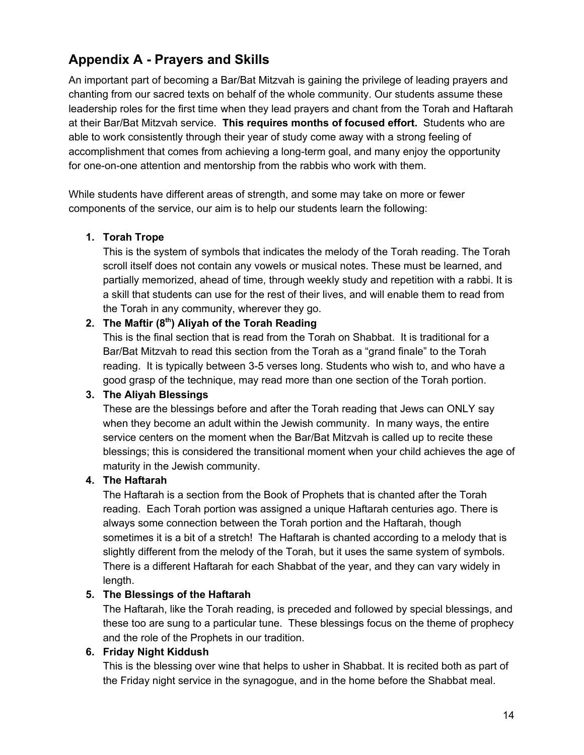# <span id="page-13-0"></span>**Appendix A - Prayers and Skills**

An important part of becoming a Bar/Bat Mitzvah is gaining the privilege of leading prayers and chanting from our sacred texts on behalf of the whole community. Our students assume these leadership roles for the first time when they lead prayers and chant from the Torah and Haftarah at their Bar/Bat Mitzvah service. **This requires months of focused effort.** Students who are able to work consistently through their year of study come away with a strong feeling of accomplishment that comes from achieving a long-term goal, and many enjoy the opportunity for one-on-one attention and mentorship from the rabbis who work with them.

While students have different areas of strength, and some may take on more or fewer components of the service, our aim is to help our students learn the following:

#### **1. Torah Trope**

This is the system of symbols that indicates the melody of the Torah reading. The Torah scroll itself does not contain any vowels or musical notes. These must be learned, and partially memorized, ahead of time, through weekly study and repetition with a rabbi. It is a skill that students can use for the rest of their lives, and will enable them to read from the Torah in any community, wherever they go.

## **2. The Maftir (8 th ) Aliyah of the Torah Reading**

This is the final section that is read from the Torah on Shabbat. It is traditional for a Bar/Bat Mitzvah to read this section from the Torah as a "grand finale" to the Torah reading. It is typically between 3-5 verses long. Students who wish to, and who have a good grasp of the technique, may read more than one section of the Torah portion.

#### **3. The Aliyah Blessings**

These are the blessings before and after the Torah reading that Jews can ONLY say when they become an adult within the Jewish community. In many ways, the entire service centers on the moment when the Bar/Bat Mitzvah is called up to recite these blessings; this is considered the transitional moment when your child achieves the age of maturity in the Jewish community.

#### **4. The Haftarah**

The Haftarah is a section from the Book of Prophets that is chanted after the Torah reading. Each Torah portion was assigned a unique Haftarah centuries ago. There is always some connection between the Torah portion and the Haftarah, though sometimes it is a bit of a stretch! The Haftarah is chanted according to a melody that is slightly different from the melody of the Torah, but it uses the same system of symbols. There is a different Haftarah for each Shabbat of the year, and they can vary widely in length.

#### **5. The Blessings of the Haftarah**

The Haftarah, like the Torah reading, is preceded and followed by special blessings, and these too are sung to a particular tune. These blessings focus on the theme of prophecy and the role of the Prophets in our tradition.

### **6. Friday Night Kiddush**

This is the blessing over wine that helps to usher in Shabbat. It is recited both as part of the Friday night service in the synagogue, and in the home before the Shabbat meal.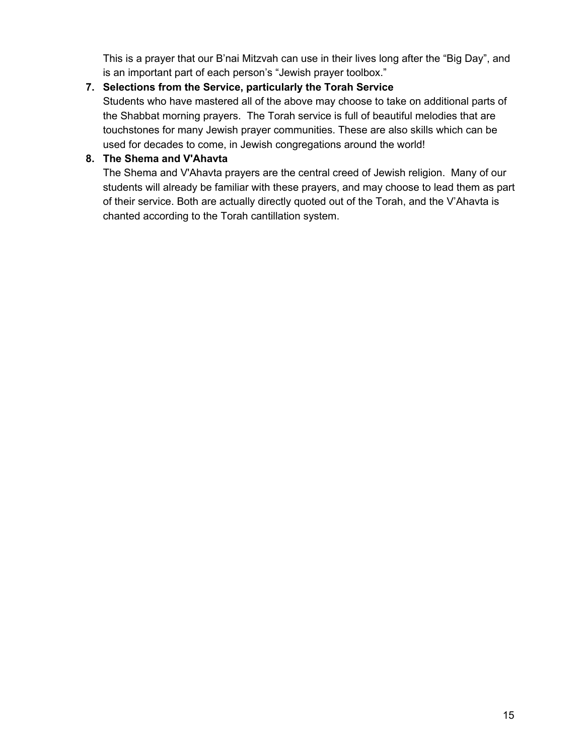This is a prayer that our B'nai Mitzvah can use in their lives long after the "Big Day", and is an important part of each person's "Jewish prayer toolbox."

# **7. Selections from the Service, particularly the Torah Service**

Students who have mastered all of the above may choose to take on additional parts of the Shabbat morning prayers. The Torah service is full of beautiful melodies that are touchstones for many Jewish prayer communities. These are also skills which can be used for decades to come, in Jewish congregations around the world!

## **8. The Shema and V'Ahavta**

The Shema and V'Ahavta prayers are the central creed of Jewish religion. Many of our students will already be familiar with these prayers, and may choose to lead them as part of their service. Both are actually directly quoted out of the Torah, and the V'Ahavta is chanted according to the Torah cantillation system.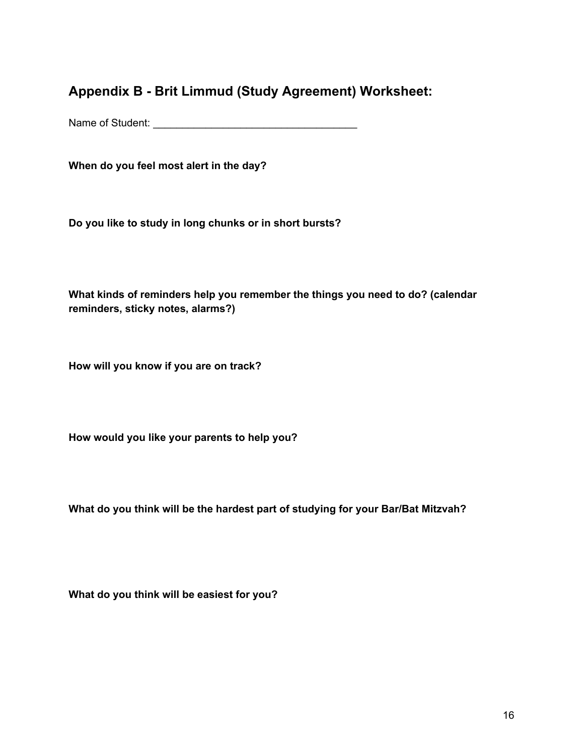**Appendix B - Brit Limmud (Study Agreement) Worksheet:**

Name of Student: \_\_\_\_\_\_\_\_\_\_\_\_\_\_\_\_\_\_\_\_\_\_\_\_\_\_\_\_\_\_\_\_\_\_\_

**When do you feel most alert in the day?**

**Do you like to study in long chunks or in short bursts?**

**What kinds of reminders help you remember the things you need to do? (calendar reminders, sticky notes, alarms?)**

**How will you know if you are on track?**

**How would you like your parents to help you?**

**What do you think will be the hardest part of studying for your Bar/Bat Mitzvah?**

**What do you think will be easiest for you?**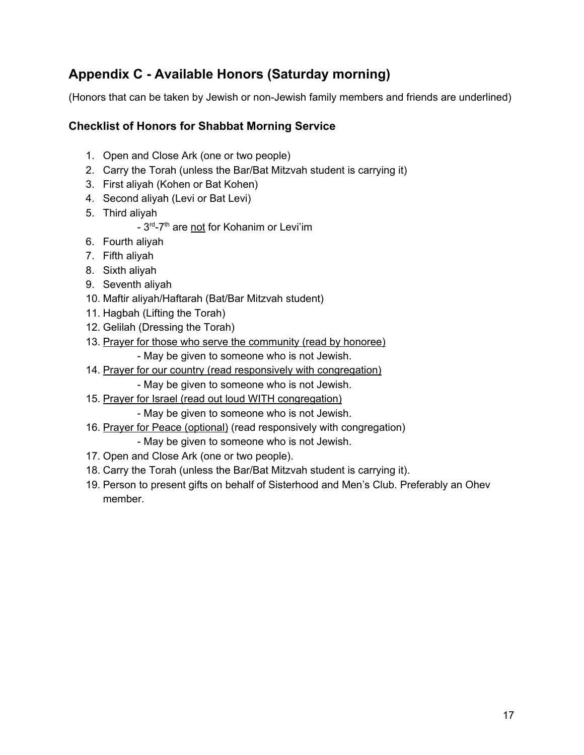# <span id="page-16-0"></span>**[Appendix C - Available](#page-0-0) Honors (Saturday morning)**

(Honors that can be taken by Jewish or non-Jewish family members and friends are underlined)

## **Checklist of Honors for Shabbat Morning Service**

- 1. Open and Close Ark (one or two people)
- 2. Carry the Torah (unless the Bar/Bat Mitzvah student is carrying it)
- 3. First aliyah (Kohen or Bat Kohen)
- 4. Second aliyah (Levi or Bat Levi)
- 5. Third aliyah
	- 3<sup>rd</sup>-7<sup>th</sup> are not for Kohanim or Levi'im
- 6. Fourth aliyah
- 7. Fifth aliyah
- 8. Sixth aliyah
- 9. Seventh aliyah
- 10. Maftir aliyah/Haftarah (Bat/Bar Mitzvah student)
- 11. Hagbah (Lifting the Torah)
- 12. Gelilah (Dressing the Torah)
- 13. Prayer for those who serve the community (read by honoree)
	- May be given to someone who is not Jewish.
- 14. Prayer for our country (read responsively with congregation)
	- May be given to someone who is not Jewish.
- 15. Prayer for Israel (read out loud WITH congregation)
	- May be given to someone who is not Jewish.
- 16. Prayer for Peace (optional) (read responsively with congregation) - May be given to someone who is not Jewish.
- 17. Open and Close Ark (one or two people).
- 18. Carry the Torah (unless the Bar/Bat Mitzvah student is carrying it).
- 19. Person to present gifts on behalf of Sisterhood and Men's Club. Preferably an Ohev member.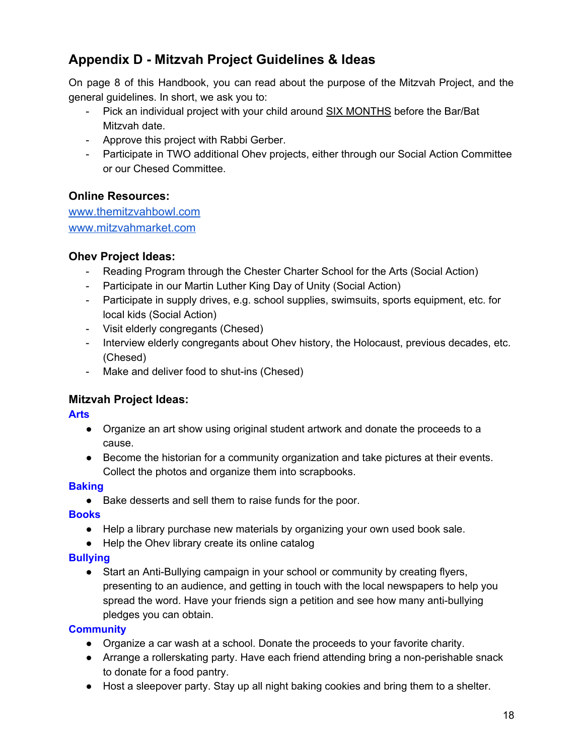# <span id="page-17-0"></span>**Appendix D - Mitzvah Project Guidelines & Ideas**

On page 8 of this Handbook, you can read about the purpose of the Mitzvah Project, and the general guidelines. In short, we ask you to:

- Pick an individual project with your child around SIX MONTHS before the Bar/Bat Mitzvah date.
- Approve this project with Rabbi Gerber.
- Participate in TWO additional Ohev projects, either through our Social Action Committee or our Chesed Committee.

## **Online Resources:**

[www.themitzvahbowl.com](http://www.themitzvahbowl.com/) [www.mitzvahmarket.com](http://www.mitzvahmarket.com/)

## **Ohev Project Ideas:**

- Reading Program through the Chester Charter School for the Arts (Social Action)
- Participate in our Martin Luther King Day of Unity (Social Action)
- Participate in supply drives, e.g. school supplies, swimsuits, sports equipment, etc. for local kids (Social Action)
- Visit elderly congregants (Chesed)
- Interview elderly congregants about Ohev history, the Holocaust, previous decades, etc. (Chesed)
- Make and deliver food to shut-ins (Chesed)

## **Mitzvah Project Ideas:**

**Arts**

- Organize an art show using original student artwork and donate the proceeds to a cause.
- Become the historian for a community organization and take pictures at their events. Collect the photos and organize them into scrapbooks.

### **Baking**

● Bake desserts and sell them to raise funds for the poor.

## **Books**

- Help a library purchase new materials by organizing your own used book sale.
- Help the Ohev library create its online catalog

## **Bullying**

• Start an Anti-Bullying campaign in your school or community by creating flyers, presenting to an audience, and getting in touch with the local newspapers to help you spread the word. Have your friends sign a petition and see how many anti-bullying pledges you can obtain.

### **Community**

- Organize a car wash at a school. Donate the proceeds to your favorite charity.
- Arrange a rollerskating party. Have each friend attending bring a non-perishable snack to donate for a food pantry.
- Host a sleepover party. Stay up all night baking cookies and bring them to a shelter.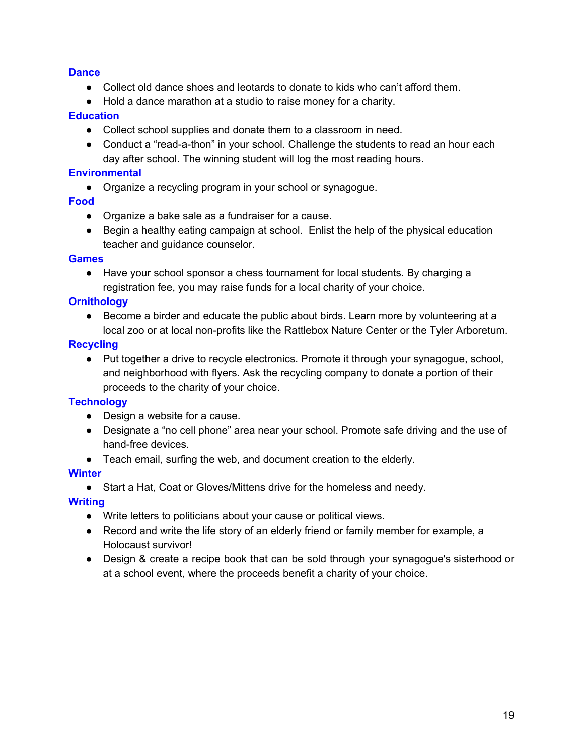#### **Dance**

- Collect old dance shoes and leotards to donate to kids who can't afford them.
- Hold a dance marathon at a studio to raise money for a charity.

#### **Education**

- Collect school supplies and donate them to a classroom in need.
- Conduct a "read-a-thon" in your school. Challenge the students to read an hour each day after school. The winning student will log the most reading hours.

#### **Environmental**

● Organize a recycling program in your school or synagogue.

#### **Food**

- Organize a bake sale as a fundraiser for a cause.
- Begin a healthy eating campaign at school. Enlist the help of the physical education teacher and guidance counselor.

#### **Games**

● Have your school sponsor a chess tournament for local students. By charging a registration fee, you may raise funds for a local charity of your choice.

#### **Ornithology**

● Become a birder and educate the public about birds. Learn more by volunteering at a local zoo or at local non-profits like the Rattlebox Nature Center or the Tyler Arboretum.

#### **Recycling**

● Put together a drive to recycle electronics. Promote it through your synagogue, school, and neighborhood with flyers. Ask the recycling company to donate a portion of their proceeds to the charity of your choice.

#### **Technology**

- Design a website for a cause.
- Designate a "no cell phone" area near your school. Promote safe driving and the use of hand-free devices.
- Teach email, surfing the web, and document creation to the elderly.

#### **Winter**

● Start a Hat, Coat or Gloves/Mittens drive for the homeless and needy.

#### **Writing**

- Write letters to politicians about your cause or political views.
- Record and write the life story of an elderly friend or family member for example, a Holocaust survivor!
- Design & create a recipe book that can be sold through your synagogue's sisterhood or at a school event, where the proceeds benefit a charity of your choice.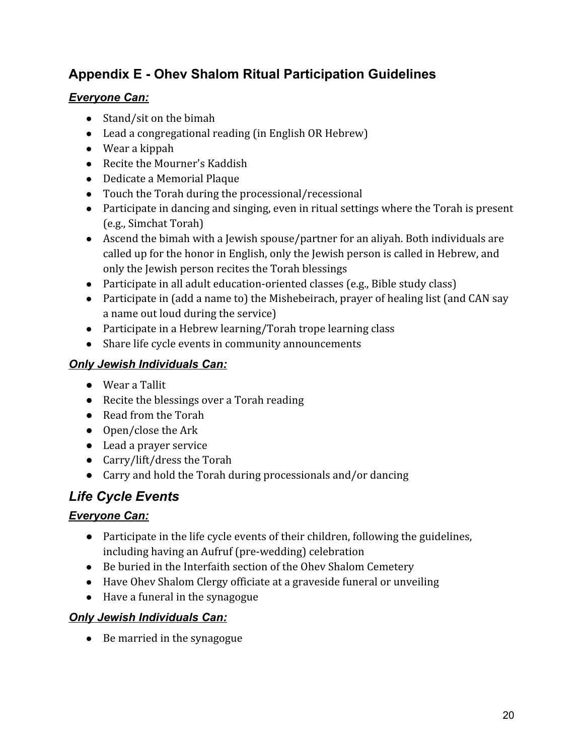# <span id="page-19-0"></span>**Appendix E - Ohev Shalom Ritual Participation Guidelines**

## *Everyone Can:*

- Stand/sit on the bimah
- Lead a congregational reading (in English OR Hebrew)
- Wear a kippah
- Recite the Mourner's Kaddish
- Dedicate a Memorial Plaque
- Touch the Torah during the processional/recessional
- Participate in dancing and singing, even in ritual settings where the Torah is present (e.g., Simchat Torah)
- Ascend the bimah with a Jewish spouse/partner for an aliyah. Both individuals are called up for the honor in English, only the Jewish person is called in Hebrew, and only the Jewish person recites the Torah blessings
- Participate in all adult education-oriented classes (e.g., Bible study class)
- Participate in (add a name to) the Mishebeirach, prayer of healing list (and CAN say a name out loud during the service)
- Participate in a Hebrew learning/Torah trope learning class
- Share life cycle events in community announcements

## *Only Jewish Individuals Can:*

- Wear a Tallit
- Recite the blessings over a Torah reading
- Read from the Torah
- Open/close the Ark
- Lead a prayer service
- Carry/lift/dress the Torah
- Carry and hold the Torah during processionals and/or dancing

# *Life Cycle Events*

## *Everyone Can:*

- Participate in the life cycle events of their children, following the guidelines, including having an Aufruf (pre-wedding) celebration
- Be buried in the Interfaith section of the Ohev Shalom Cemetery
- Have Ohev Shalom Clergy officiate at a graveside funeral or unveiling
- Have a funeral in the synagogue

## *Only Jewish Individuals Can:*

• Be married in the synagogue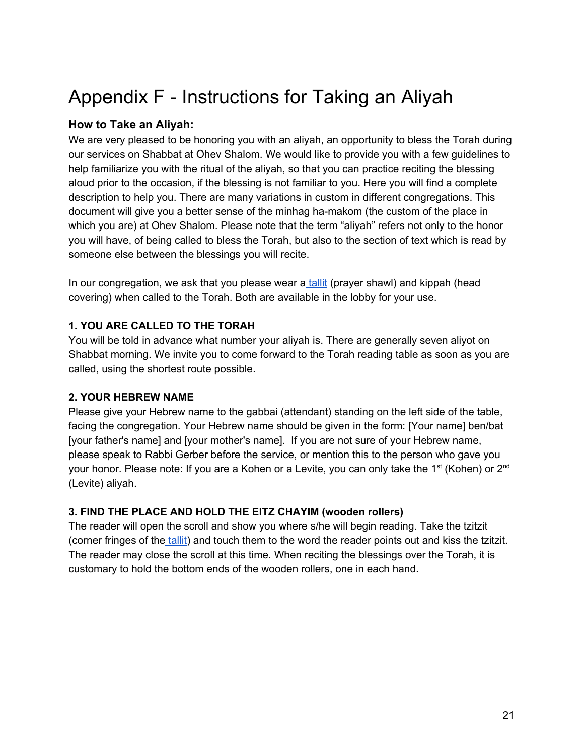# <span id="page-20-0"></span>Appendix F - Instructions for Taking an Aliyah

## **How to Take an Aliyah:**

We are very pleased to be honoring you with an aliyah, an opportunity to bless the Torah during our services on Shabbat at Ohev Shalom. We would like to provide you with a few guidelines to help familiarize you with the ritual of the aliyah, so that you can practice reciting the blessing aloud prior to the occasion, if the blessing is not familiar to you. Here you will find a complete description to help you. There are many variations in custom in different congregations. This document will give you a better sense of the minhag ha-makom (the custom of the place in which you are) at Ohev Shalom. Please note that the term "aliyah" refers not only to the honor you will have, of being called to bless the Torah, but also to the section of text which is read by someone else between the blessings you will recite.

In our congregation, we ask that you please wear a [tallit](http://scheinerman.net/judaism/synagogue/glossary.html#tallit) (prayer shawl) and kippah (head covering) when called to the Torah. Both are available in the lobby for your use.

## **1. YOU ARE CALLED TO THE TORAH**

You will be told in advance what number your aliyah is. There are generally seven aliyot on Shabbat morning. We invite you to come forward to the Torah reading table as soon as you are called, using the shortest route possible.

## **2. YOUR HEBREW NAME**

Please give your Hebrew name to the gabbai (attendant) standing on the left side of the table, facing the congregation. Your Hebrew name should be given in the form: [Your name] ben/bat [your father's name] and [your mother's name]. If you are not sure of your Hebrew name, please speak to Rabbi Gerber before the service, or mention this to the person who gave you your honor. Please note: If you are a Kohen or a Levite, you can only take the 1<sup>st</sup> (Kohen) or 2<sup>nd</sup> (Levite) aliyah.

## **3. FIND THE PLACE AND HOLD THE EITZ CHAYIM (wooden rollers)**

The reader will open the scroll and show you where s/he will begin reading. Take the tzitzit (corner fringes of th[e tallit\)](http://scheinerman.net/judaism/synagogue/glossary.html#tallit) and touch them to the word the reader points out and kiss the tzitzit. The reader may close the scroll at this time. When reciting the blessings over the Torah, it is customary to hold the bottom ends of the wooden rollers, one in each hand.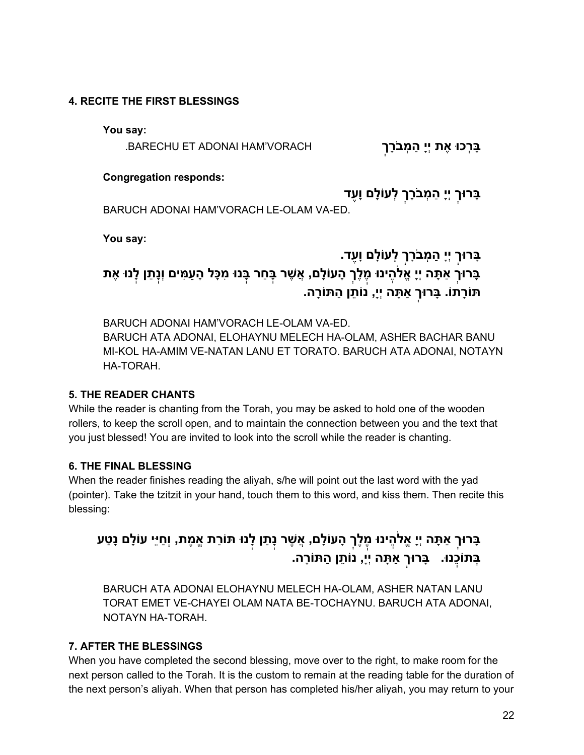#### **4. RECITE THE FIRST BLESSINGS**

**You say:**

**ָבַּרכוּ אִת יְיַ המבֹרֵך BARECHU ET ADONAI HAM VORACH** 

#### **Congregation responds:**

**ָבּרוּךְ יְיָ ַה ְמבָֹרךְ ְ לע ָוֹלם וֶָעד**

BARUCH ADONAI HAM'VORACH LE-OLAM VA-ED.

**You say:**

# **ָבּרוּךְ יְיָ ַה ְמבָֹרךְ ְ לע ָוֹלם וֶָעד.** בָּרוּךְ אַתָּה יְיָ אֱלֹהֶינוּ מֶלֶךְ הָעוֹלָם, אֲשֶׁר בְּחַר בְּנוּ מִכָּל הָעַמִּים וְנְתַן לְנוּ אֶת **תּ ָ וֹרתוֹ. ָבּרוּךְ אַ ָתּה יְי,ָ נוֹ ֵתן ַ התּ ָ וֹרה.**

BARUCH ADONAI HAM'VORACH LE-OLAM VA-ED. BARUCH ATA ADONAI, ELOHAYNU MELECH HA-OLAM, ASHER BACHAR BANU MI-KOL HA-AMIM VE-NATAN LANU ET TORATO. BARUCH ATA ADONAI, NOTAYN HA-TORAH.

#### **5. THE READER CHANTS**

While the reader is chanting from the Torah, you may be asked to hold one of the wooden rollers, to keep the scroll open, and to maintain the connection between you and the text that you just blessed! You are invited to look into the scroll while the reader is chanting.

### **6. THE FINAL BLESSING**

When the reader finishes reading the aliyah, s/he will point out the last word with the yad (pointer). Take the tzitzit in your hand, touch them to this word, and kiss them. Then recite this blessing:

# בָּרוּךְ אַתָּה יְיָ אֱלֹהֶינוּ מֶֽלֶךְ הָעוֹלָם, אֲשֶׁר נְתַן לְנוּ תּוֹרַת אֱמֶת, וְחַיֵּי עוֹלָם נָטַע **ְבּתוֵֹכֽנוּ. ָבּרוּךְ אַ ָתּה יְי,ָ נוֹ ֵתן ַ התּ ָ וֹרה.**

BARUCH ATA ADONAI ELOHAYNU MELECH HA-OLAM, ASHER NATAN LANU TORAT EMET VE-CHAYEI OLAM NATA BE-TOCHAYNU. BARUCH ATA ADONAI, NOTAYN HA-TORAH.

### **7. AFTER THE BLESSINGS**

When you have completed the second blessing, move over to the right, to make room for the next person called to the Torah. It is the custom to remain at the reading table for the duration of the next person's aliyah. When that person has completed his/her aliyah, you may return to your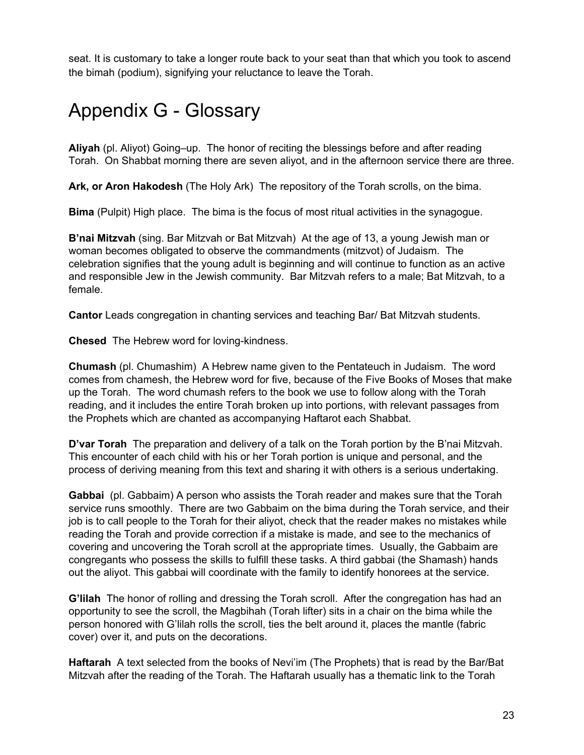seat. It is customary to take a longer route back to your seat than that which you took to ascend the bimah (podium), signifying your reluctance to leave the Torah.

# <span id="page-22-0"></span>Appendix G - Glossary

**Aliyah** (pl. Aliyot) Going–up. The honor of reciting the blessings before and after reading Torah. On Shabbat morning there are seven aliyot, and in the afternoon service there are three.

**Ark, or Aron Hakodesh** (The Holy Ark) The repository of the Torah scrolls, on the bima.

**Bima** (Pulpit) High place. The bima is the focus of most ritual activities in the synagogue.

**B'nai Mitzvah** (sing. Bar Mitzvah or Bat Mitzvah) At the age of 13, a young Jewish man or woman becomes obligated to observe the commandments (mitzvot) of Judaism. The celebration signifies that the young adult is beginning and will continue to function as an active and responsible Jew in the Jewish community. Bar Mitzvah refers to a male; Bat Mitzvah, to a female.

**Cantor** Leads congregation in chanting services and teaching Bar/ Bat Mitzvah students.

**Chesed**  The Hebrew word for loving-kindness.

**Chumash** (pl. Chumashim) A Hebrew name given to the Pentateuch in Judaism. The word comes from chamesh, the Hebrew word for five, because of the Five Books of Moses that make up the Torah. The word chumash refers to the book we use to follow along with the Torah reading, and it includes the entire Torah broken up into portions, with relevant passages from the Prophets which are chanted as accompanying Haftarot each Shabbat.

**D'var Torah**  The preparation and delivery of a talk on the Torah portion by the B'nai Mitzvah. This encounter of each child with his or her Torah portion is unique and personal, and the process of deriving meaning from this text and sharing it with others is a serious undertaking.

**Gabbai**  (pl. Gabbaim) A person who assists the Torah reader and makes sure that the Torah service runs smoothly. There are two Gabbaim on the bima during the Torah service, and their job is to call people to the Torah for their aliyot, check that the reader makes no mistakes while reading the Torah and provide correction if a mistake is made, and see to the mechanics of covering and uncovering the Torah scroll at the appropriate times. Usually, the Gabbaim are congregants who possess the skills to fulfill these tasks. A third gabbai (the Shamash) hands out the aliyot. This gabbai will coordinate with the family to identify honorees at the service.

**G'lilah**  The honor of rolling and dressing the Torah scroll. After the congregation has had an opportunity to see the scroll, the Magbihah (Torah lifter) sits in a chair on the bima while the person honored with G'lilah rolls the scroll, ties the belt around it, places the mantle (fabric cover) over it, and puts on the decorations.

**Haftarah**  A text selected from the books of Nevi'im (The Prophets) that is read by the Bar/Bat Mitzvah after the reading of the Torah. The Haftarah usually has a thematic link to the Torah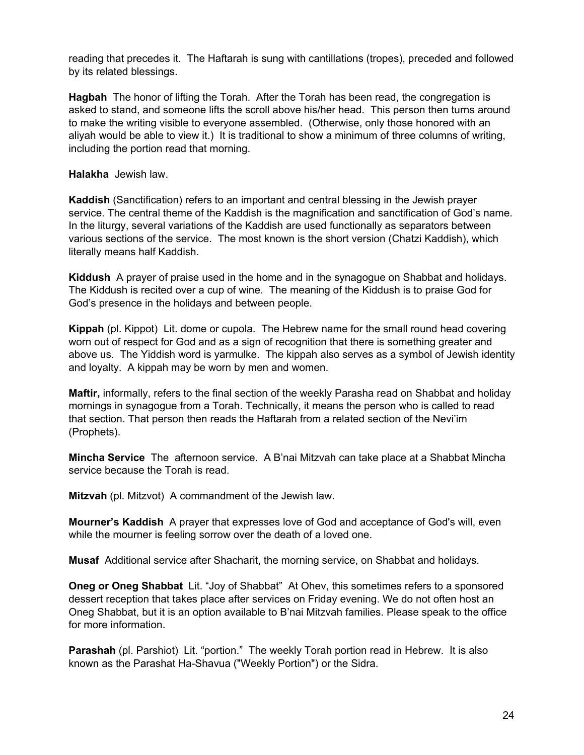reading that precedes it. The Haftarah is sung with cantillations (tropes), preceded and followed by its related blessings.

**Hagbah** The honor of lifting the Torah. After the Torah has been read, the congregation is asked to stand, and someone lifts the scroll above his/her head. This person then turns around to make the writing visible to everyone assembled. (Otherwise, only those honored with an aliyah would be able to view it.) It is traditional to show a minimum of three columns of writing, including the portion read that morning.

**Halakha** Jewish law.

**Kaddish** (Sanctification) refers to an important and central blessing in the Jewish prayer service. The central theme of the Kaddish is the magnification and sanctification of God's name. In the liturgy, several variations of the Kaddish are used functionally as separators between various sections of the service. The most known is the short version (Chatzi Kaddish), which literally means half Kaddish.

**Kiddush** A prayer of praise used in the home and in the synagogue on Shabbat and holidays. The Kiddush is recited over a cup of wine. The meaning of the Kiddush is to praise God for God's presence in the holidays and between people.

**Kippah** (pl. Kippot) Lit. dome or cupola. The Hebrew name for the small round head covering worn out of respect for God and as a sign of recognition that there is something greater and above us. The Yiddish word is yarmulke. The kippah also serves as a symbol of Jewish identity and loyalty. A kippah may be worn by men and women.

**Maftir,** informally, refers to the final section of the weekly Parasha read on Shabbat and holiday mornings in synagogue from a Torah. Technically, it means the person who is called to read that section. That person then reads the Haftarah from a related section of the Nevi'im (Prophets).

**Mincha Service** The afternoon service. A B'nai Mitzvah can take place at a Shabbat Mincha service because the Torah is read.

**Mitzvah** (pl. Mitzvot) A commandment of the Jewish law.

**Mourner's Kaddish** A prayer that expresses love of God and acceptance of God's will, even while the mourner is feeling sorrow over the death of a loved one.

**Musaf** Additional service after Shacharit, the morning service, on Shabbat and holidays.

**Oneg or Oneg Shabbat** Lit. "Joy of Shabbat" At Ohev, this sometimes refers to a sponsored dessert reception that takes place after services on Friday evening. We do not often host an Oneg Shabbat, but it is an option available to B'nai Mitzvah families. Please speak to the office for more information.

**Parashah** (pl. Parshiot) Lit. "portion." The weekly Torah portion read in Hebrew. It is also known as the Parashat Ha-Shavua ("Weekly Portion") or the Sidra.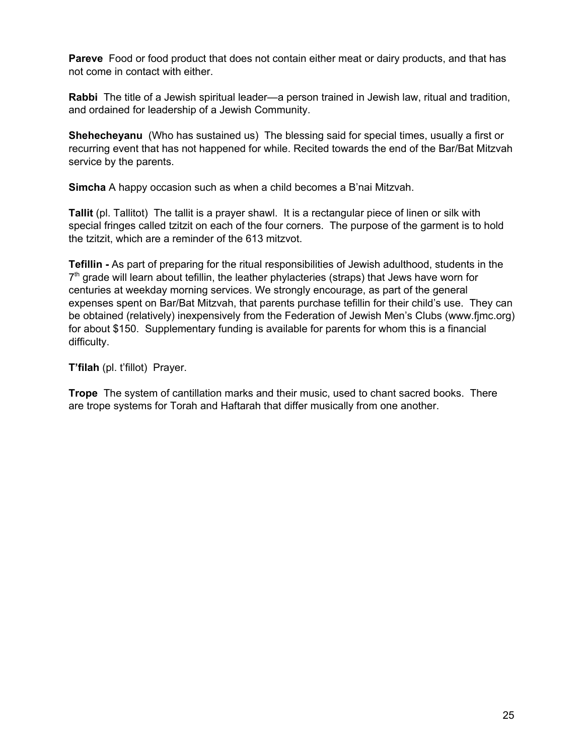**Pareve**  Food or food product that does not contain either meat or dairy products, and that has not come in contact with either.

**Rabbi**  The title of a Jewish spiritual leader—a person trained in Jewish law, ritual and tradition, and ordained for leadership of a Jewish Community.

**Shehecheyanu** (Who has sustained us) The blessing said for special times, usually a first or recurring event that has not happened for while. Recited towards the end of the Bar/Bat Mitzvah service by the parents.

**Simcha** A happy occasion such as when a child becomes a B'nai Mitzvah.

**Tallit** (pl. Tallitot) The tallit is a prayer shawl. It is a rectangular piece of linen or silk with special fringes called tzitzit on each of the four corners. The purpose of the garment is to hold the tzitzit, which are a reminder of the 613 mitzvot.

**Tefillin -** As part of preparing for the ritual responsibilities of Jewish adulthood, students in the 7<sup>th</sup> grade will learn about tefillin, the leather phylacteries (straps) that Jews have worn for centuries at weekday morning services. We strongly encourage, as part of the general expenses spent on Bar/Bat Mitzvah, that parents purchase tefillin for their child's use. They can be obtained (relatively) inexpensively from the Federation of Jewish Men's Clubs (www.fjmc.org) for about \$150. Supplementary funding is available for parents for whom this is a financial difficulty.

**T'filah** (pl. t'fillot) Prayer.

**Trope** The system of cantillation marks and their music, used to chant sacred books. There are trope systems for Torah and Haftarah that differ musically from one another.